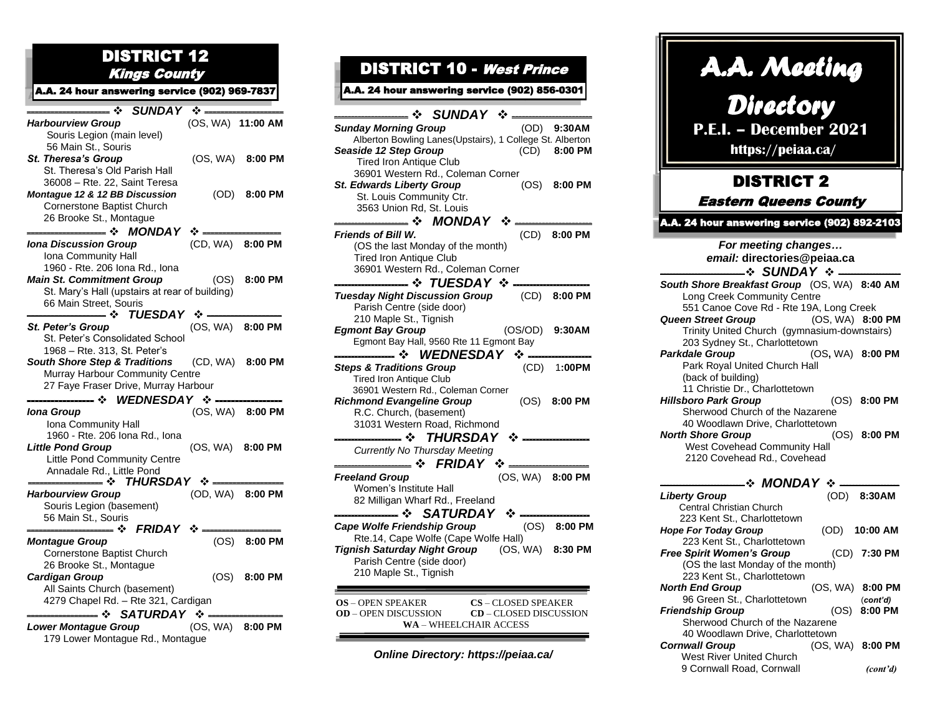## DISTRICT 12 Kings County

 A.A. 24 hour answering service (902) 969-7837

| $\div$ SUNDAY $\div$ -                                 | (OS, WA) 11:00 AM |                  |
|--------------------------------------------------------|-------------------|------------------|
| <b>Harbourview Group</b><br>Souris Legion (main level) |                   |                  |
| 56 Main St., Souris                                    |                   |                  |
| <b>St. Theresa's Group</b>                             |                   | (OS, WA) 8:00 PM |
| St. Theresa's Old Parish Hall                          |                   |                  |
| 36008 - Rte. 22, Saint Teresa                          |                   |                  |
| Montague 12 & 12 BB Discussion                         |                   | (OD) 8:00 PM     |
| Cornerstone Baptist Church                             |                   |                  |
| 26 Brooke St., Montague                                |                   |                  |
| $MONDAY$ :<br>— ⊹                                      |                   |                  |
| <b>Iona Discussion Group</b>                           | (CD, WA) 8:00 PM  |                  |
| Iona Community Hall                                    |                   |                  |
| 1960 - Rte. 206 Iona Rd., Iona                         |                   |                  |
| <b>Main St. Commitment Group</b>                       |                   | (OS) 8:00 PM     |
| St. Mary's Hall (upstairs at rear of building)         |                   |                  |
| 66 Main Street, Souris                                 |                   |                  |
|                                                        |                   |                  |
| St. Peter's Group                                      |                   | (OS, WA) 8:00 PM |
| St. Peter's Consolidated School                        |                   |                  |
| 1968 - Rte. 313, St. Peter's                           |                   |                  |
| South Shore Step & Traditions (CD, WA) 8:00 PM         |                   |                  |
| Murray Harbour Community Centre                        |                   |                  |
| 27 Faye Fraser Drive, Murray Harbour                   |                   |                  |
| — ❖ WEDNESDAY ❖                                        |                   |                  |
| <b>Iona Group</b>                                      |                   | (OS, WA) 8:00 PM |
| Iona Community Hall                                    |                   |                  |
| 1960 - Rte. 206 Iona Rd., Iona                         |                   |                  |
| <b>Little Pond Group</b>                               | (OS, WA) 8:00 PM  |                  |
| Little Pond Community Centre                           |                   |                  |
| Annadale Rd., Little Pond                              |                   |                  |
| ——— ❖ THURSDAY ❖ ——                                    |                   |                  |
| <b>Harbourview Group</b>                               |                   | (OD, WA) 8:00 PM |
| Souris Legion (basement)                               |                   |                  |
| 56 Main St., Souris<br>— ❖ FRIDAY ❖ —–                 |                   |                  |
| <b>Montague Group</b>                                  |                   | (OS) 8:00 PM     |
| Cornerstone Baptist Church                             |                   |                  |
| 26 Brooke St., Montague                                |                   |                  |
| <b>Cardigan Group</b>                                  |                   | $(OS)$ 8:00 PM   |
| All Saints Church (basement)                           |                   |                  |
| 4279 Chapel Rd. - Rte 321, Cardigan                    |                   |                  |
| —— ❖ SATURDAY ❖ —–                                     |                   |                  |
| <b>Lower Montague Group</b>                            |                   | (OS, WA) 8:00 PM |
| 179 Lower Montague Rd., Montague                       |                   |                  |

## DISTRICT 10 - West Prince

## A.A. 24 hour answering service (902) 856-0301

| <b>SUNDAY ❖</b>                                                                                                        |         |                  |
|------------------------------------------------------------------------------------------------------------------------|---------|------------------|
| <b>Sunday Morning Group</b>                                                                                            |         | (OD) 9:30AM      |
| Alberton Bowling Lanes(Upstairs), 1 College St. Alberton                                                               |         |                  |
| Seaside 12 Step Group                                                                                                  |         | (CD) 8:00 PM     |
| Tired Iron Antique Club                                                                                                |         |                  |
| 36901 Western Rd., Coleman Corner                                                                                      |         |                  |
| <b>St. Edwards Liberty Group</b>                                                                                       |         | $(OS)$ 8:00 PM   |
| St. Louis Community Ctr.                                                                                               |         |                  |
| 3563 Union Rd, St. Louis                                                                                               |         |                  |
| — ❖ MONDAY                                                                                                             |         |                  |
| <b>Friends of Bill W.</b>                                                                                              |         | (CD) 8:00 PM     |
| (OS the last Monday of the month)                                                                                      |         |                  |
| <b>Tired Iron Antique Club</b>                                                                                         |         |                  |
| 36901 Western Rd., Coleman Corner                                                                                      |         |                  |
| — ❖ TUESDAY ❖ —                                                                                                        |         |                  |
| Tuesday Night Discussion Group (CD) 8:00 PM                                                                            |         |                  |
| Parish Centre (side door)                                                                                              |         |                  |
| 210 Maple St., Tignish                                                                                                 |         |                  |
| <b>Egmont Bay Group</b>                                                                                                | (OS/OD) | 9:30AM           |
| Egmont Bay Hall, 9560 Rte 11 Egmont Bay                                                                                |         |                  |
|                                                                                                                        |         |                  |
| <b>Steps &amp; Traditions Group</b>                                                                                    |         | (CD) 1:00PM      |
| <b>Tired Iron Antique Club</b>                                                                                         |         |                  |
| 36901 Western Rd., Coleman Corner                                                                                      |         |                  |
| <b>Richmond Evangeline Group</b>                                                                                       | (OS)    | 8:00 PM          |
| R.C. Church, (basement)                                                                                                |         |                  |
| 31031 Western Road, Richmond                                                                                           |         |                  |
| — ❖ THURSDAY ❖ -                                                                                                       |         |                  |
| Currently No Thursday Meeting                                                                                          |         |                  |
| $\div$ FRIDAY $\div$                                                                                                   |         |                  |
| <b>Freeland Group</b>                                                                                                  |         | (OS, WA) 8:00 PM |
| Women's Institute Hall                                                                                                 |         |                  |
| 82 Milligan Wharf Rd., Freeland                                                                                        |         |                  |
| SATURDAY $\cdot$<br>∙*                                                                                                 |         |                  |
| Cape Wolfe Friendship Group                                                                                            |         | (OS) 8:00 PM     |
| Rte.14, Cape Wolfe (Cape Wolfe Hall)                                                                                   |         |                  |
| Tignish Saturday Night Group (OS, WA)                                                                                  |         | 8:30 PM          |
| Parish Centre (side door)                                                                                              |         |                  |
| 210 Maple St., Tignish                                                                                                 |         |                  |
|                                                                                                                        |         |                  |
|                                                                                                                        |         |                  |
| <b>OS</b> - OPEN SPEAKER<br><b>CS</b> - CLOSED SPEAKER<br><b>OD</b> – OPEN DISCUSSION<br><b>CD</b> – CLOSED DISCUSSION |         |                  |
| <b>WA - WHEELCHAIR ACCESS</b>                                                                                          |         |                  |
|                                                                                                                        |         |                  |
|                                                                                                                        |         |                  |

*Online Directory: https://peiaa.ca/*

| A.A. Meeting<br>Directory<br><b>P.E.I. - December 2021</b><br>https://peiaa.ca/                                        |                  |               |  |
|------------------------------------------------------------------------------------------------------------------------|------------------|---------------|--|
| <b>DISTRICT 2</b>                                                                                                      |                  |               |  |
| <b>Eastern Queens County</b>                                                                                           |                  |               |  |
| <b>A.A. 24 hour answering service (902) 892-2103</b>                                                                   |                  |               |  |
| For meeting changes<br>email: directories@peiaa.ca<br>-∻ SUNDAY ∻-                                                     |                  |               |  |
| South Shore Breakfast Group (OS, WA) 8:40 AM<br>Long Creek Community Centre<br>551 Canoe Cove Rd - Rte 19A, Long Creek |                  |               |  |
| <b>Queen Street Group</b><br>Trinity United Church (gymnasium-downstairs)<br>203 Sydney St., Charlottetown             | (OS, WA) 8:00 PM |               |  |
| Parkdale Group<br>Park Royal United Church Hall<br>(back of building)<br>11 Christie Dr., Charlottetown                | (OS, WA) 8:00 PM |               |  |
| <b>Hillsboro Park Group</b><br>Sherwood Church of the Nazarene<br>40 Woodlawn Drive, Charlottetown                     |                  | (OS) 8:00 PM  |  |
| <b>North Shore Group</b><br><b>West Covehead Community Hall</b><br>2120 Covehead Rd., Covehead                         |                  | (OS) 8:00 PM  |  |
| $\div$ MONDAY $\div$ —                                                                                                 |                  |               |  |
| <b>Liberty Group</b><br>Central Christian Church<br>223 Kent St., Charlottetown                                        |                  | (OD) 8:30AM   |  |
| <b>Hope For Today Group</b><br>223 Kent St., Charlottetown                                                             |                  | (OD) 10:00 AM |  |
| <b>Free Spirit Women's Group</b><br>(OS the last Monday of the month)<br>223 Kent St., Charlottetown                   |                  | (CD) 7:30 PM  |  |
| <b>North End Group</b><br>96 Green St., Charlottetown                                                                  | (OS, WA) 8:00 PM | (cont'd)      |  |
| <b>Friendship Group</b><br>Sherwood Church of the Nazarene<br>40 Woodlawn Drive, Charlottetown                         | (OS)             | 8:00 PM       |  |
| <b>Cornwall Group</b>                                                                                                  | (OS, WA)         | 8:00 PM       |  |

West River United Church

9 Cornwall Road, Cornwall *(cont'd)*